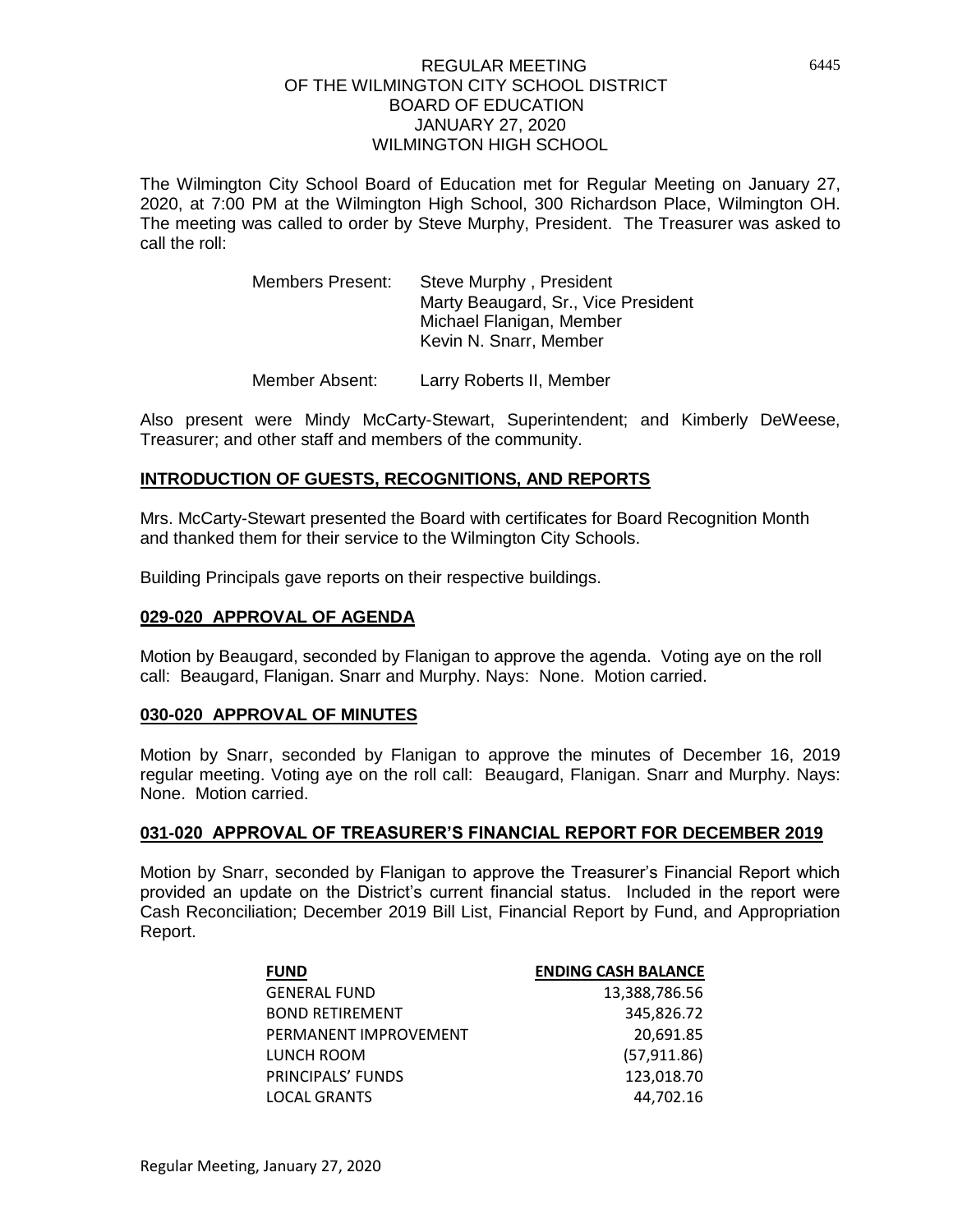The Wilmington City School Board of Education met for Regular Meeting on January 27, 2020, at 7:00 PM at the Wilmington High School, 300 Richardson Place, Wilmington OH. The meeting was called to order by Steve Murphy, President. The Treasurer was asked to call the roll:

| <b>Members Present:</b> | Steve Murphy, President             |
|-------------------------|-------------------------------------|
|                         | Marty Beaugard, Sr., Vice President |
|                         | Michael Flanigan, Member            |
|                         | Kevin N. Snarr, Member              |
|                         |                                     |

Member Absent: Larry Roberts II, Member

Also present were Mindy McCarty-Stewart, Superintendent; and Kimberly DeWeese, Treasurer; and other staff and members of the community.

# **INTRODUCTION OF GUESTS, RECOGNITIONS, AND REPORTS**

Mrs. McCarty-Stewart presented the Board with certificates for Board Recognition Month and thanked them for their service to the Wilmington City Schools.

Building Principals gave reports on their respective buildings.

## **029-020 APPROVAL OF AGENDA**

Motion by Beaugard, seconded by Flanigan to approve the agenda. Voting aye on the roll call: Beaugard, Flanigan. Snarr and Murphy. Nays: None. Motion carried.

## **030-020 APPROVAL OF MINUTES**

Motion by Snarr, seconded by Flanigan to approve the minutes of December 16, 2019 regular meeting. Voting aye on the roll call: Beaugard, Flanigan. Snarr and Murphy. Nays: None. Motion carried.

## **031-020 APPROVAL OF TREASURER'S FINANCIAL REPORT FOR DECEMBER 2019**

Motion by Snarr, seconded by Flanigan to approve the Treasurer's Financial Report which provided an update on the District's current financial status. Included in the report were Cash Reconciliation; December 2019 Bill List, Financial Report by Fund, and Appropriation Report.

| <b>FUND</b>            | <b>ENDING CASH BALANCE</b> |
|------------------------|----------------------------|
| <b>GENERAL FUND</b>    | 13,388,786.56              |
| <b>BOND RETIREMENT</b> | 345,826.72                 |
| PERMANENT IMPROVEMENT  | 20,691.85                  |
| LUNCH ROOM             | (57, 911.86)               |
| PRINCIPALS' FUNDS      | 123,018.70                 |
| <b>LOCAL GRANTS</b>    | 44.702.16                  |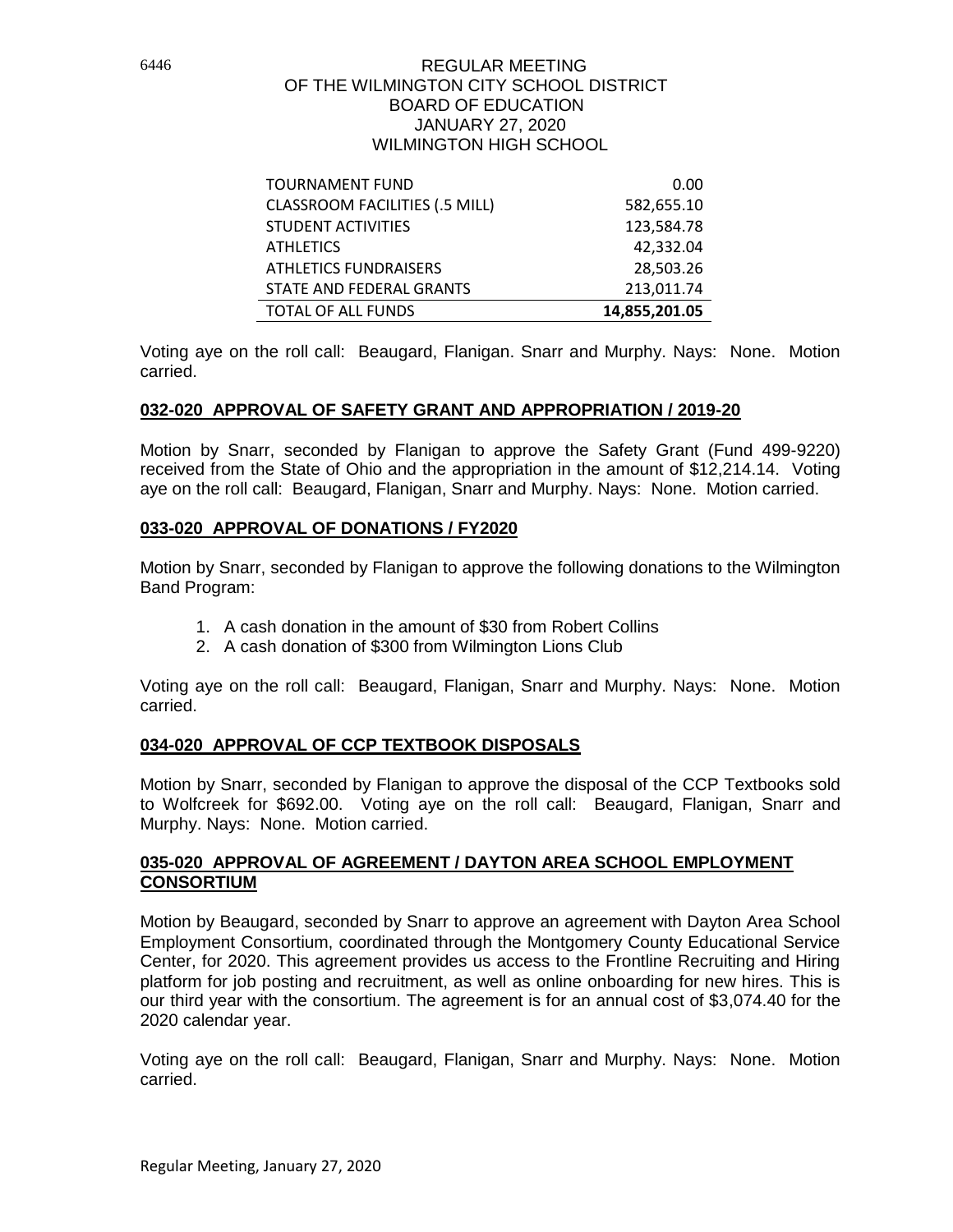| <b>TOURNAMENT FUND</b>                | 0.00          |
|---------------------------------------|---------------|
| <b>CLASSROOM FACILITIES (.5 MILL)</b> | 582,655.10    |
| <b>STUDENT ACTIVITIES</b>             | 123,584.78    |
| <b>ATHLETICS</b>                      | 42,332.04     |
| <b>ATHLETICS FUNDRAISERS</b>          | 28,503.26     |
| STATE AND FEDERAL GRANTS              | 213,011.74    |
| <b>TOTAL OF ALL FUNDS</b>             | 14,855,201.05 |

Voting aye on the roll call: Beaugard, Flanigan. Snarr and Murphy. Nays: None. Motion carried.

# **032-020 APPROVAL OF SAFETY GRANT AND APPROPRIATION / 2019-20**

Motion by Snarr, seconded by Flanigan to approve the Safety Grant (Fund 499-9220) received from the State of Ohio and the appropriation in the amount of \$12,214.14. Voting aye on the roll call: Beaugard, Flanigan, Snarr and Murphy. Nays: None. Motion carried.

# **033-020 APPROVAL OF DONATIONS / FY2020**

Motion by Snarr, seconded by Flanigan to approve the following donations to the Wilmington Band Program:

- 1. A cash donation in the amount of \$30 from Robert Collins
- 2. A cash donation of \$300 from Wilmington Lions Club

Voting aye on the roll call: Beaugard, Flanigan, Snarr and Murphy. Nays: None. Motion carried.

## **034-020 APPROVAL OF CCP TEXTBOOK DISPOSALS**

Motion by Snarr, seconded by Flanigan to approve the disposal of the CCP Textbooks sold to Wolfcreek for \$692.00. Voting aye on the roll call: Beaugard, Flanigan, Snarr and Murphy. Nays: None. Motion carried.

# **035-020 APPROVAL OF AGREEMENT / DAYTON AREA SCHOOL EMPLOYMENT CONSORTIUM**

Motion by Beaugard, seconded by Snarr to approve an agreement with Dayton Area School Employment Consortium, coordinated through the Montgomery County Educational Service Center, for 2020. This agreement provides us access to the Frontline Recruiting and Hiring platform for job posting and recruitment, as well as online onboarding for new hires. This is our third year with the consortium. The agreement is for an annual cost of \$3,074.40 for the 2020 calendar year.

Voting aye on the roll call: Beaugard, Flanigan, Snarr and Murphy. Nays: None. Motion carried.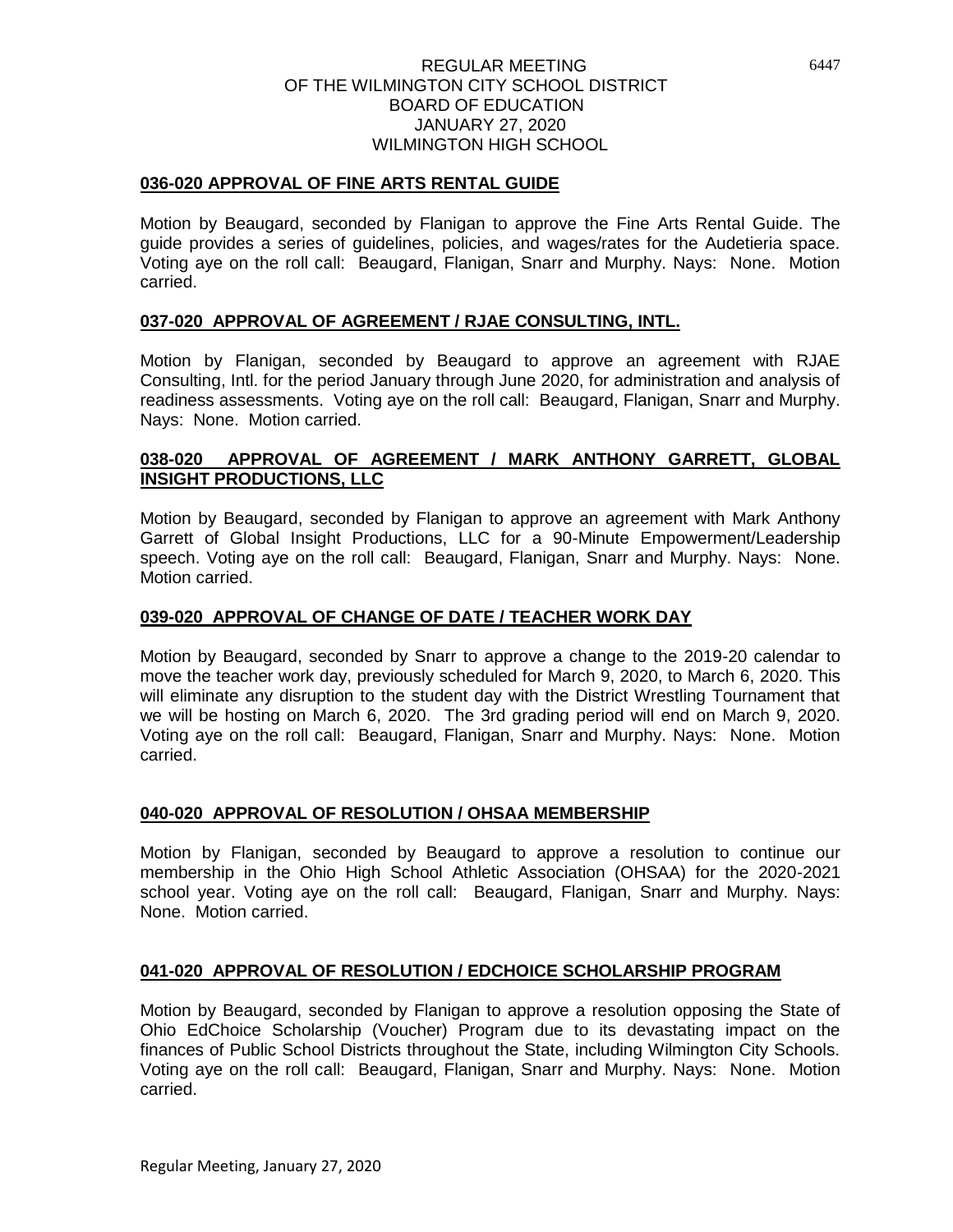# **036-020 APPROVAL OF FINE ARTS RENTAL GUIDE**

Motion by Beaugard, seconded by Flanigan to approve the Fine Arts Rental Guide. The guide provides a series of guidelines, policies, and wages/rates for the Audetieria space. Voting aye on the roll call: Beaugard, Flanigan, Snarr and Murphy. Nays: None. Motion carried.

# **037-020 APPROVAL OF AGREEMENT / RJAE CONSULTING, INTL.**

Motion by Flanigan, seconded by Beaugard to approve an agreement with RJAE Consulting, Intl. for the period January through June 2020, for administration and analysis of readiness assessments. Voting aye on the roll call: Beaugard, Flanigan, Snarr and Murphy. Nays: None. Motion carried.

# **038-020 APPROVAL OF AGREEMENT / MARK ANTHONY GARRETT, GLOBAL INSIGHT PRODUCTIONS, LLC**

Motion by Beaugard, seconded by Flanigan to approve an agreement with Mark Anthony Garrett of Global Insight Productions, LLC for a 90-Minute Empowerment/Leadership speech. Voting aye on the roll call: Beaugard, Flanigan, Snarr and Murphy. Nays: None. Motion carried.

## **039-020 APPROVAL OF CHANGE OF DATE / TEACHER WORK DAY**

Motion by Beaugard, seconded by Snarr to approve a change to the 2019-20 calendar to move the teacher work day, previously scheduled for March 9, 2020, to March 6, 2020. This will eliminate any disruption to the student day with the District Wrestling Tournament that we will be hosting on March 6, 2020. The 3rd grading period will end on March 9, 2020. Voting aye on the roll call: Beaugard, Flanigan, Snarr and Murphy. Nays: None. Motion carried.

## **040-020 APPROVAL OF RESOLUTION / OHSAA MEMBERSHIP**

Motion by Flanigan, seconded by Beaugard to approve a resolution to continue our membership in the Ohio High School Athletic Association (OHSAA) for the 2020-2021 school year. Voting aye on the roll call: Beaugard, Flanigan, Snarr and Murphy. Nays: None. Motion carried.

## **041-020 APPROVAL OF RESOLUTION / EDCHOICE SCHOLARSHIP PROGRAM**

Motion by Beaugard, seconded by Flanigan to approve a resolution opposing the State of Ohio EdChoice Scholarship (Voucher) Program due to its devastating impact on the finances of Public School Districts throughout the State, including Wilmington City Schools. Voting aye on the roll call: Beaugard, Flanigan, Snarr and Murphy. Nays: None. Motion carried.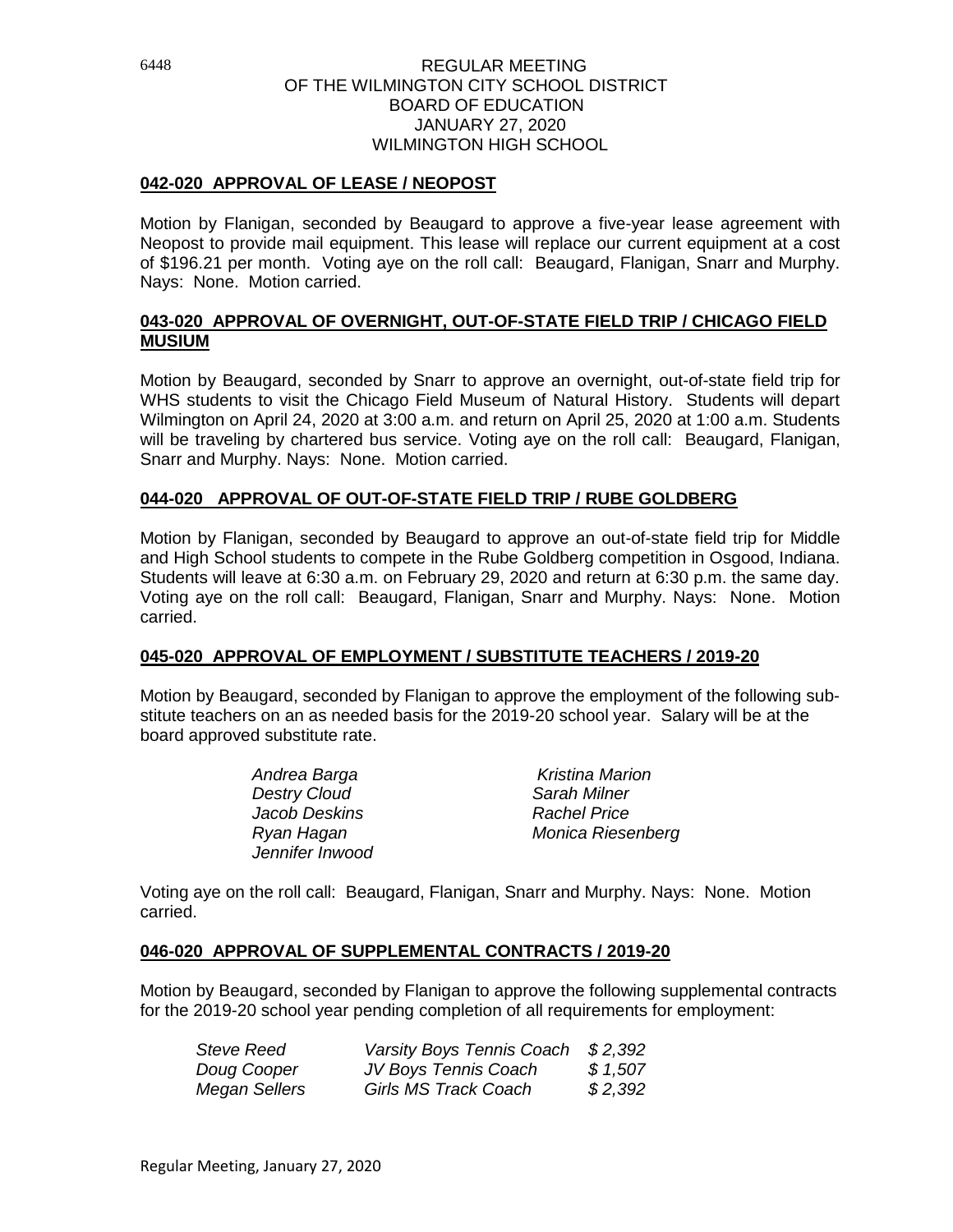# **042-020 APPROVAL OF LEASE / NEOPOST**

Motion by Flanigan, seconded by Beaugard to approve a five-year lease agreement with Neopost to provide mail equipment. This lease will replace our current equipment at a cost of \$196.21 per month. Voting aye on the roll call: Beaugard, Flanigan, Snarr and Murphy. Nays: None. Motion carried.

# **043-020 APPROVAL OF OVERNIGHT, OUT-OF-STATE FIELD TRIP / CHICAGO FIELD MUSIUM**

Motion by Beaugard, seconded by Snarr to approve an overnight, out-of-state field trip for WHS students to visit the Chicago Field Museum of Natural History. Students will depart Wilmington on April 24, 2020 at 3:00 a.m. and return on April 25, 2020 at 1:00 a.m. Students will be traveling by chartered bus service. Voting aye on the roll call: Beaugard, Flanigan, Snarr and Murphy. Nays: None. Motion carried.

# **044-020 APPROVAL OF OUT-OF-STATE FIELD TRIP / RUBE GOLDBERG**

Motion by Flanigan, seconded by Beaugard to approve an out-of-state field trip for Middle and High School students to compete in the Rube Goldberg competition in Osgood, Indiana. Students will leave at 6:30 a.m. on February 29, 2020 and return at 6:30 p.m. the same day. Voting aye on the roll call: Beaugard, Flanigan, Snarr and Murphy. Nays: None. Motion carried.

# **045-020 APPROVAL OF EMPLOYMENT / SUBSTITUTE TEACHERS / 2019-20**

Motion by Beaugard, seconded by Flanigan to approve the employment of the following substitute teachers on an as needed basis for the 2019-20 school year. Salary will be at the board approved substitute rate.

| Andrea Barga        | <b>Kristina Marion</b> |
|---------------------|------------------------|
| <b>Destry Cloud</b> | Sarah Milner           |
| Jacob Deskins       | <b>Rachel Price</b>    |
| Ryan Hagan          | Monica Riesenberg      |
| Jennifer Inwood     |                        |

Voting aye on the roll call: Beaugard, Flanigan, Snarr and Murphy. Nays: None. Motion carried.

# **046-020 APPROVAL OF SUPPLEMENTAL CONTRACTS / 2019-20**

Motion by Beaugard, seconded by Flanigan to approve the following supplemental contracts for the 2019-20 school year pending completion of all requirements for employment:

| <b>Steve Reed</b> | Varsity Boys Tennis Coach | \$ 2,392 |
|-------------------|---------------------------|----------|
| Doug Cooper       | JV Boys Tennis Coach      | \$1,507  |
| Megan Sellers     | Girls MS Track Coach      | \$2,392  |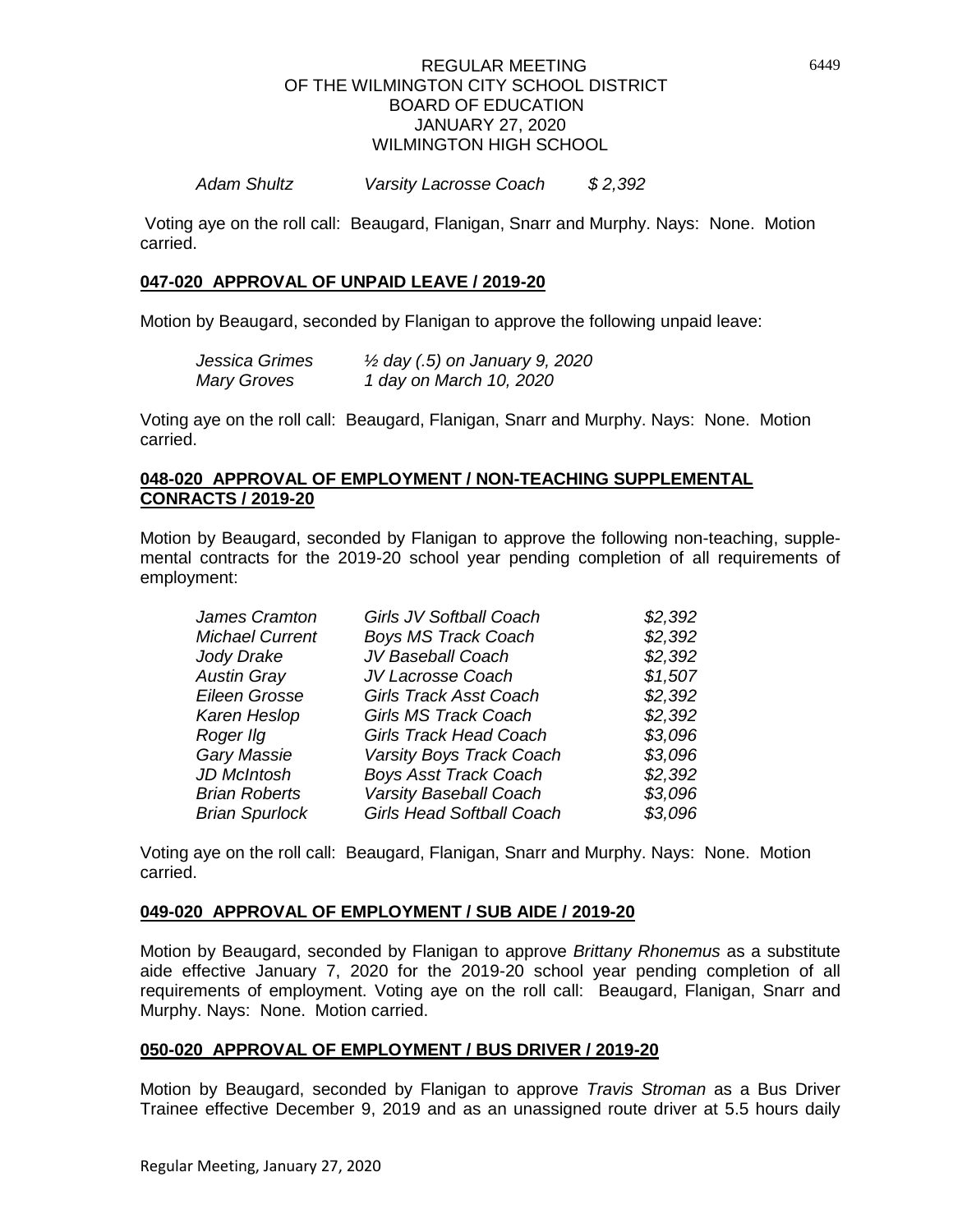## *Adam Shultz Varsity Lacrosse Coach \$ 2,392*

Voting aye on the roll call: Beaugard, Flanigan, Snarr and Murphy. Nays: None. Motion carried.

## **047-020 APPROVAL OF UNPAID LEAVE / 2019-20**

Motion by Beaugard, seconded by Flanigan to approve the following unpaid leave:

| Jessica Grimes     | $\frac{1}{2}$ day (.5) on January 9, 2020 |
|--------------------|-------------------------------------------|
| <b>Mary Groves</b> | 1 day on March 10, 2020                   |

Voting aye on the roll call: Beaugard, Flanigan, Snarr and Murphy. Nays: None. Motion carried.

# **048-020 APPROVAL OF EMPLOYMENT / NON-TEACHING SUPPLEMENTAL CONRACTS / 2019-20**

Motion by Beaugard, seconded by Flanigan to approve the following non-teaching, supplemental contracts for the 2019-20 school year pending completion of all requirements of employment:

| <b>Girls JV Softball Coach</b>   | \$2,392 |
|----------------------------------|---------|
| <b>Boys MS Track Coach</b>       | \$2,392 |
| JV Baseball Coach                | \$2,392 |
| JV Lacrosse Coach                | \$1,507 |
| <b>Girls Track Asst Coach</b>    | \$2,392 |
| <b>Girls MS Track Coach</b>      | \$2,392 |
| <b>Girls Track Head Coach</b>    | \$3,096 |
| Varsity Boys Track Coach         | \$3,096 |
| <b>Boys Asst Track Coach</b>     | \$2,392 |
| <b>Varsity Baseball Coach</b>    | \$3,096 |
| <b>Girls Head Softball Coach</b> | \$3,096 |
|                                  |         |

Voting aye on the roll call: Beaugard, Flanigan, Snarr and Murphy. Nays: None. Motion carried.

## **049-020 APPROVAL OF EMPLOYMENT / SUB AIDE / 2019-20**

Motion by Beaugard, seconded by Flanigan to approve *Brittany Rhonemus* as a substitute aide effective January 7, 2020 for the 2019-20 school year pending completion of all requirements of employment. Voting aye on the roll call: Beaugard, Flanigan, Snarr and Murphy. Nays: None. Motion carried.

## **050-020 APPROVAL OF EMPLOYMENT / BUS DRIVER / 2019-20**

Motion by Beaugard, seconded by Flanigan to approve *Travis Stroman* as a Bus Driver Trainee effective December 9, 2019 and as an unassigned route driver at 5.5 hours daily